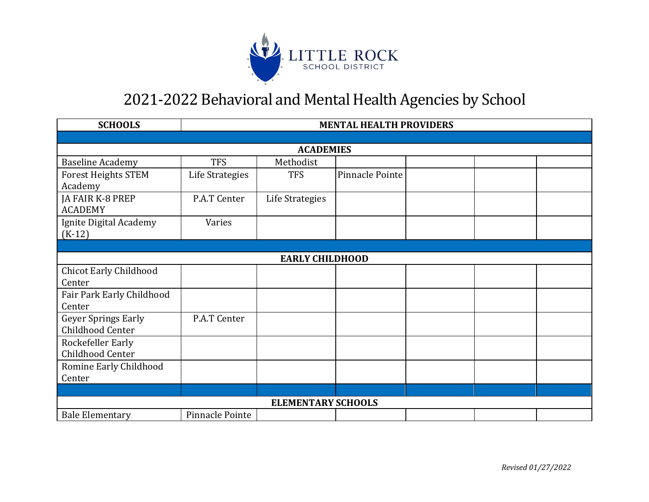

| <b>SCHOOLS</b>                                 | <b>MENTAL HEALTH PROVIDERS</b> |                 |                 |  |  |  |  |
|------------------------------------------------|--------------------------------|-----------------|-----------------|--|--|--|--|
|                                                |                                |                 |                 |  |  |  |  |
| <b>ACADEMIES</b>                               |                                |                 |                 |  |  |  |  |
| <b>Baseline Academy</b>                        | <b>TFS</b>                     | Methodist       |                 |  |  |  |  |
| <b>Forest Heights STEM</b><br>Academy          | Life Strategies                | <b>TFS</b>      | Pinnacle Pointe |  |  |  |  |
| JA FAIR K-8 PREP<br><b>ACADEMY</b>             | P.A.T Center                   | Life Strategies |                 |  |  |  |  |
| Ignite Digital Academy<br>$(K-12)$             | Varies                         |                 |                 |  |  |  |  |
|                                                |                                |                 |                 |  |  |  |  |
| <b>EARLY CHILDHOOD</b>                         |                                |                 |                 |  |  |  |  |
| <b>Chicot Early Childhood</b><br>Center        |                                |                 |                 |  |  |  |  |
| Fair Park Early Childhood<br>Center            |                                |                 |                 |  |  |  |  |
| <b>Geyer Springs Early</b><br>Childhood Center | P.A.T Center                   |                 |                 |  |  |  |  |
| Rockefeller Early<br>Childhood Center          |                                |                 |                 |  |  |  |  |
| Romine Early Childhood<br>Center               |                                |                 |                 |  |  |  |  |
|                                                |                                |                 |                 |  |  |  |  |
| <b>ELEMENTARY SCHOOLS</b>                      |                                |                 |                 |  |  |  |  |
| <b>Bale Elementary</b>                         | Pinnacle Pointe                |                 |                 |  |  |  |  |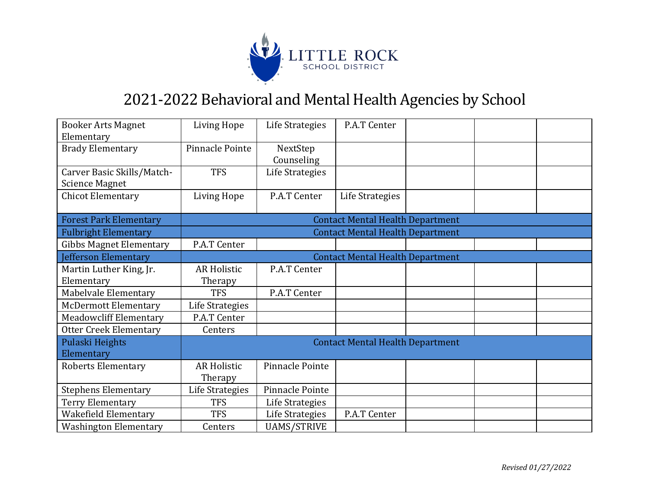

| <b>Booker Arts Magnet</b><br>Elementary             | Living Hope                             | Life Strategies        | P.A.T Center                            |  |  |  |
|-----------------------------------------------------|-----------------------------------------|------------------------|-----------------------------------------|--|--|--|
| <b>Brady Elementary</b>                             | Pinnacle Pointe                         | NextStep<br>Counseling |                                         |  |  |  |
| Carver Basic Skills/Match-<br><b>Science Magnet</b> | <b>TFS</b>                              | Life Strategies        |                                         |  |  |  |
| <b>Chicot Elementary</b>                            | <b>Living Hope</b>                      | P.A.T Center           | Life Strategies                         |  |  |  |
| <b>Forest Park Elementary</b>                       |                                         |                        | <b>Contact Mental Health Department</b> |  |  |  |
| <b>Fulbright Elementary</b>                         |                                         |                        | <b>Contact Mental Health Department</b> |  |  |  |
| <b>Gibbs Magnet Elementary</b>                      | P.A.T Center                            |                        |                                         |  |  |  |
| Jefferson Elementary                                | <b>Contact Mental Health Department</b> |                        |                                         |  |  |  |
| Martin Luther King, Jr.                             | <b>AR Holistic</b>                      | P.A.T Center           |                                         |  |  |  |
| Elementary                                          | Therapy                                 |                        |                                         |  |  |  |
| Mabelvale Elementary                                | <b>TFS</b>                              | P.A.T Center           |                                         |  |  |  |
| <b>McDermott Elementary</b>                         | Life Strategies                         |                        |                                         |  |  |  |
| <b>Meadowcliff Elementary</b>                       | P.A.T Center                            |                        |                                         |  |  |  |
| <b>Otter Creek Elementary</b>                       | Centers                                 |                        |                                         |  |  |  |
| Pulaski Heights<br>Elementary                       | <b>Contact Mental Health Department</b> |                        |                                         |  |  |  |
| <b>Roberts Elementary</b>                           | <b>AR Holistic</b><br>Therapy           | Pinnacle Pointe        |                                         |  |  |  |
| <b>Stephens Elementary</b>                          | Life Strategies                         | Pinnacle Pointe        |                                         |  |  |  |
| Terry Elementary                                    | <b>TFS</b>                              | Life Strategies        |                                         |  |  |  |
| Wakefield Elementary                                | <b>TFS</b>                              | Life Strategies        | P.A.T Center                            |  |  |  |
| <b>Washington Elementary</b>                        | Centers                                 | <b>UAMS/STRIVE</b>     |                                         |  |  |  |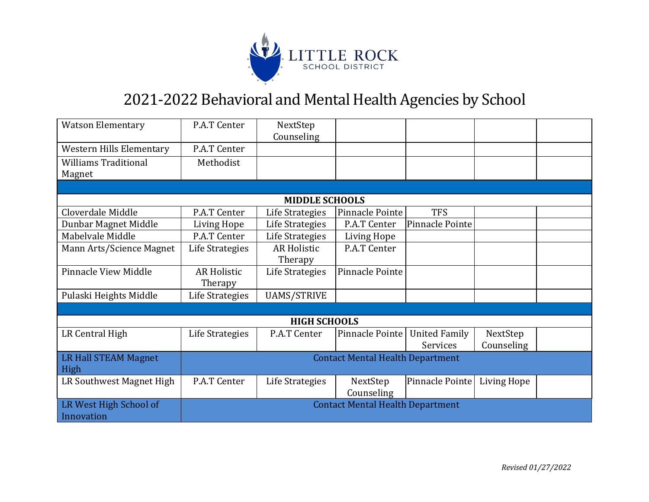

| <b>Watson Elementary</b>    | P.A.T Center                            | NextStep              |                 |                      |             |  |
|-----------------------------|-----------------------------------------|-----------------------|-----------------|----------------------|-------------|--|
|                             |                                         | Counseling            |                 |                      |             |  |
| Western Hills Elementary    | P.A.T Center                            |                       |                 |                      |             |  |
| <b>Williams Traditional</b> | Methodist                               |                       |                 |                      |             |  |
| Magnet                      |                                         |                       |                 |                      |             |  |
|                             |                                         |                       |                 |                      |             |  |
|                             |                                         | <b>MIDDLE SCHOOLS</b> |                 |                      |             |  |
| Cloverdale Middle           | P.A.T Center                            | Life Strategies       | Pinnacle Pointe | <b>TFS</b>           |             |  |
| Dunbar Magnet Middle        | Living Hope                             | Life Strategies       | P.A.T Center    | Pinnacle Pointe      |             |  |
| Mabelvale Middle            | P.A.T Center                            | Life Strategies       | Living Hope     |                      |             |  |
| Mann Arts/Science Magnet    | Life Strategies                         | <b>AR Holistic</b>    | P.A.T Center    |                      |             |  |
|                             |                                         | Therapy               |                 |                      |             |  |
| <b>Pinnacle View Middle</b> | <b>AR Holistic</b>                      | Life Strategies       | Pinnacle Pointe |                      |             |  |
|                             | Therapy                                 |                       |                 |                      |             |  |
| Pulaski Heights Middle      | Life Strategies                         | <b>UAMS/STRIVE</b>    |                 |                      |             |  |
|                             |                                         |                       |                 |                      |             |  |
|                             |                                         | <b>HIGH SCHOOLS</b>   |                 |                      |             |  |
| LR Central High             | Life Strategies                         | P.A.T Center          | Pinnacle Pointe | <b>United Family</b> | NextStep    |  |
|                             |                                         |                       |                 | Services             | Counseling  |  |
| LR Hall STEAM Magnet        | <b>Contact Mental Health Department</b> |                       |                 |                      |             |  |
| High                        |                                         |                       |                 |                      |             |  |
| LR Southwest Magnet High    | P.A.T Center                            | Life Strategies       | NextStep        | Pinnacle Pointe      | Living Hope |  |
|                             |                                         |                       | Counseling      |                      |             |  |
| LR West High School of      | <b>Contact Mental Health Department</b> |                       |                 |                      |             |  |
| Innovation                  |                                         |                       |                 |                      |             |  |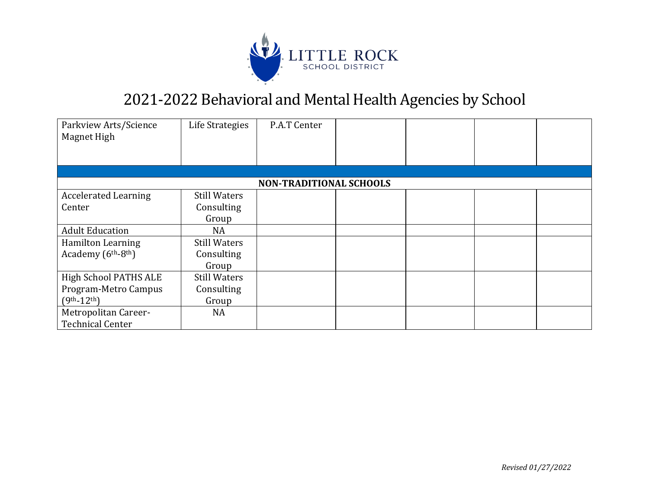

| Parkview Arts/Science<br>Magnet High        | Life Strategies                | P.A.T Center |  |  |  |  |  |
|---------------------------------------------|--------------------------------|--------------|--|--|--|--|--|
|                                             |                                |              |  |  |  |  |  |
|                                             | <b>NON-TRADITIONAL SCHOOLS</b> |              |  |  |  |  |  |
| <b>Accelerated Learning</b>                 | Still Waters                   |              |  |  |  |  |  |
| Center                                      | Consulting                     |              |  |  |  |  |  |
|                                             | Group                          |              |  |  |  |  |  |
| <b>Adult Education</b>                      | <b>NA</b>                      |              |  |  |  |  |  |
| Hamilton Learning                           | <b>Still Waters</b>            |              |  |  |  |  |  |
| Academy (6 <sup>th</sup> -8 <sup>th</sup> ) | Consulting                     |              |  |  |  |  |  |
|                                             | Group                          |              |  |  |  |  |  |
| High School PATHS ALE                       | <b>Still Waters</b>            |              |  |  |  |  |  |
| Program-Metro Campus                        | Consulting                     |              |  |  |  |  |  |
| $(9th-12th)$                                | Group                          |              |  |  |  |  |  |
| Metropolitan Career-                        | NA                             |              |  |  |  |  |  |
| <b>Technical Center</b>                     |                                |              |  |  |  |  |  |